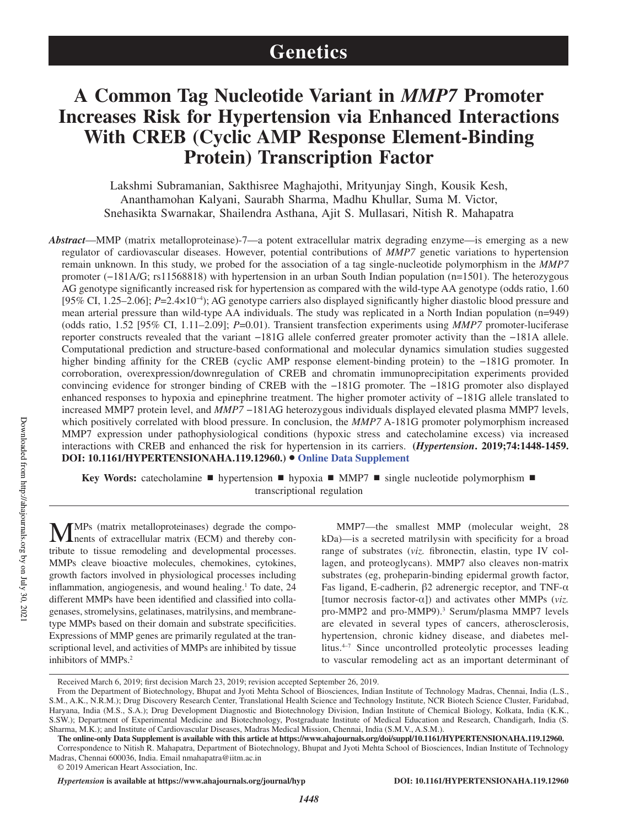# **Genetics**

# **A Common Tag Nucleotide Variant in** *MMP7* **Promoter Increases Risk for Hypertension via Enhanced Interactions With CREB (Cyclic AMP Response Element-Binding Protein) Transcription Factor**

Lakshmi Subramanian, Sakthisree Maghajothi, Mrityunjay Singh, Kousik Kesh, Ananthamohan Kalyani, Saurabh Sharma, Madhu Khullar, Suma M. Victor, Snehasikta Swarnakar, Shailendra Asthana, Ajit S. Mullasari, Nitish R. Mahapatra

*Abstract*—MMP (matrix metalloproteinase)-7—a potent extracellular matrix degrading enzyme—is emerging as a new regulator of cardiovascular diseases. However, potential contributions of *MMP7* genetic variations to hypertension remain unknown. In this study, we probed for the association of a tag single-nucleotide polymorphism in the *MMP7* promoter (−181A/G; rs11568818) with hypertension in an urban South Indian population (n=1501). The heterozygous AG genotype significantly increased risk for hypertension as compared with the wild-type AA genotype (odds ratio, 1.60 [95% CI, 1.25–2.06]; *P*=2.4×10−4); AG genotype carriers also displayed significantly higher diastolic blood pressure and mean arterial pressure than wild-type AA individuals. The study was replicated in a North Indian population (n=949) (odds ratio, 1.52 [95% CI, 1.11–2.09]; *P*=0.01). Transient transfection experiments using *MMP7* promoter-luciferase reporter constructs revealed that the variant −181G allele conferred greater promoter activity than the −181A allele. Computational prediction and structure-based conformational and molecular dynamics simulation studies suggested higher binding affinity for the CREB (cyclic AMP response element-binding protein) to the −181G promoter. In corroboration, overexpression/downregulation of CREB and chromatin immunoprecipitation experiments provided convincing evidence for stronger binding of CREB with the −181G promoter. The −181G promoter also displayed enhanced responses to hypoxia and epinephrine treatment. The higher promoter activity of −181G allele translated to increased MMP7 protein level, and *MMP7* −181AG heterozygous individuals displayed elevated plasma MMP7 levels, which positively correlated with blood pressure. In conclusion, the *MMP7* A-181G promoter polymorphism increased MMP7 expression under pathophysiological conditions (hypoxic stress and catecholamine excess) via increased interactions with CREB and enhanced the risk for hypertension in its carriers. **(***Hypertension***. 2019;74:1448-1459. DOI: 10.1161/HYPERTENSIONAHA.119.12960.)**• **Online Data Supplement**

**Key Words:** catecholamine ■ hypertension ■ hypoxia ■ MMP7 ■ single nucleotide polymorphism ■ transcriptional regulation

MMPs (matrix metalloproteinases) degrade the compo-<br>nents of extracellular matrix (ECM) and thereby contribute to tissue remodeling and developmental processes. MMPs cleave bioactive molecules, chemokines, cytokines, growth factors involved in physiological processes including inflammation, angiogenesis, and wound healing.<sup>1</sup> To date, 24 different MMPs have been identified and classified into collagenases, stromelysins, gelatinases, matrilysins, and membranetype MMPs based on their domain and substrate specificities. Expressions of MMP genes are primarily regulated at the transcriptional level, and activities of MMPs are inhibited by tissue inhibitors of MMPs.<sup>2</sup>

MMP7—the smallest MMP (molecular weight, 28 kDa)—is a secreted matrilysin with specificity for a broad range of substrates (*viz.* fibronectin, elastin, type IV collagen, and proteoglycans). MMP7 also cleaves non-matrix substrates (eg, proheparin-binding epidermal growth factor, Fas ligand, E-cadherin, β2 adrenergic receptor, and TNF-α [tumor necrosis factor-α]) and activates other MMPs (*viz.* pro-MMP2 and pro-MMP9).<sup>3</sup> Serum/plasma MMP7 levels are elevated in several types of cancers, atherosclerosis, hypertension, chronic kidney disease, and diabetes mellitus.4–7 Since uncontrolled proteolytic processes leading to vascular remodeling act as an important determinant of

Received March 6, 2019; first decision March 23, 2019; revision accepted September 26, 2019.

From the Department of Biotechnology, Bhupat and Jyoti Mehta School of Biosciences, Indian Institute of Technology Madras, Chennai, India (L.S., S.M., A.K., N.R.M.); Drug Discovery Research Center, Translational Health Science and Technology Institute, NCR Biotech Science Cluster, Faridabad, Haryana, India (M.S., S.A.); Drug Development Diagnostic and Biotechnology Division, Indian Institute of Chemical Biology, Kolkata, India (K.K., S.SW.); Department of Experimental Medicine and Biotechnology, Postgraduate Institute of Medical Education and Research, Chandigarh, India (S. Sharma, M.K.); and Institute of Cardiovascular Diseases, Madras Medical Mission, Chennai, India (S.M.V., A.S.M.).

**The online-only Data Supplement is available with this article at https://www.ahajournals.org/doi/suppl/10.1161/HYPERTENSIONAHA.119.12960.**

Correspondence to Nitish R. Mahapatra, Department of Biotechnology, Bhupat and Jyoti Mehta School of Biosciences, Indian Institute of Technology Madras, Chennai 600036, India. Email nmahapatra@iitm.ac.in

<sup>© 2019</sup> American Heart Association, Inc.

*Hypertension* **is available at https://www.ahajournals.org/journal/hyp DOI: 10.1161/HYPERTENSIONAHA.119.12960**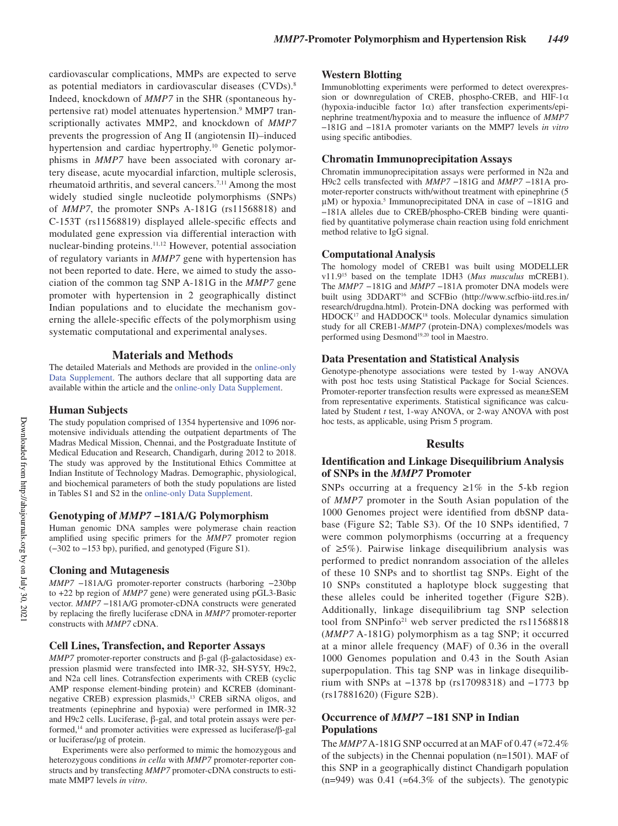cardiovascular complications, MMPs are expected to serve as potential mediators in cardiovascular diseases (CVDs).<sup>8</sup> Indeed, knockdown of *MMP7* in the SHR (spontaneous hypertensive rat) model attenuates hypertension.<sup>9</sup> MMP7 transcriptionally activates MMP2, and knockdown of *MMP7* prevents the progression of Ang II (angiotensin II)–induced hypertension and cardiac hypertrophy.<sup>10</sup> Genetic polymorphisms in *MMP7* have been associated with coronary artery disease, acute myocardial infarction, multiple sclerosis, rheumatoid arthritis, and several cancers.<sup>7,11</sup> Among the most widely studied single nucleotide polymorphisms (SNPs) of *MMP7*, the promoter SNPs A-181G (rs11568818) and C-153T (rs11568819) displayed allele-specific effects and modulated gene expression via differential interaction with nuclear-binding proteins.11,12 However, potential association of regulatory variants in *MMP7* gene with hypertension has not been reported to date. Here, we aimed to study the association of the common tag SNP A-181G in the *MMP7* gene promoter with hypertension in 2 geographically distinct Indian populations and to elucidate the mechanism governing the allele-specific effects of the polymorphism using systematic computational and experimental analyses.

#### **Materials and Methods**

The detailed Materials and Methods are provided in the online-only Data Supplement. The authors declare that all supporting data are available within the article and the online-only Data Supplement.

#### **Human Subjects**

The study population comprised of 1354 hypertensive and 1096 normotensive individuals attending the outpatient departments of The Madras Medical Mission, Chennai, and the Postgraduate Institute of Medical Education and Research, Chandigarh, during 2012 to 2018. The study was approved by the Institutional Ethics Committee at Indian Institute of Technology Madras. Demographic, physiological, and biochemical parameters of both the study populations are listed in Tables S1 and S2 in the online-only Data Supplement.

#### **Genotyping of** *MMP7* **−181A/G Polymorphism**

Human genomic DNA samples were polymerase chain reaction amplified using specific primers for the *MMP7* promoter region (−302 to −153 bp), purified, and genotyped (Figure S1).

#### **Cloning and Mutagenesis**

*MMP7* −181A/G promoter-reporter constructs (harboring −230bp to +22 bp region of *MMP7* gene) were generated using pGL3-Basic vector. *MMP7* −181A/G promoter-cDNA constructs were generated by replacing the firefly luciferase cDNA in *MMP7* promoter-reporter constructs with *MMP7* cDNA.

#### **Cell Lines, Transfection, and Reporter Assays**

*MMP7* promoter-reporter constructs and β-gal (β-galactosidase) expression plasmid were transfected into IMR-32, SH-SY5Y, H9c2, and N2a cell lines. Cotransfection experiments with CREB (cyclic AMP response element-binding protein) and KCREB (dominantnegative CREB) expression plasmids,<sup>13</sup> CREB siRNA oligos, and treatments (epinephrine and hypoxia) were performed in IMR-32 and H9c2 cells. Luciferase, β-gal, and total protein assays were performed,<sup>14</sup> and promoter activities were expressed as luciferase/β-gal or luciferase/μg of protein.

Experiments were also performed to mimic the homozygous and heterozygous conditions *in cella* with *MMP7* promoter-reporter constructs and by transfecting *MMP7* promoter-cDNA constructs to estimate MMP7 levels *in vitro*.

#### **Western Blotting**

Immunoblotting experiments were performed to detect overexpression or downregulation of CREB, phospho-CREB, and HIF-1 $\alpha$ (hypoxia-inducible factor  $1\alpha$ ) after transfection experiments/epinephrine treatment/hypoxia and to measure the influence of *MMP7* −181G and −181A promoter variants on the MMP7 levels *in vitro* using specific antibodies.

#### **Chromatin Immunoprecipitation Assays**

Chromatin immunoprecipitation assays were performed in N2a and H9c2 cells transfected with *MMP7* −181G and *MMP7* −181A promoter-reporter constructs with/without treatment with epinephrine (5 µM) or hypoxia.<sup>5</sup> Immunoprecipitated DNA in case of −181G and −181A alleles due to CREB/phospho-CREB binding were quantified by quantitative polymerase chain reaction using fold enrichment method relative to IgG signal.

#### **Computational Analysis**

The homology model of CREB1 was built using MODELLER v11.9<sup>15</sup> based on the template 1DH3 (*Mus musculus* mCREB1). The *MMP7 −*181G and *MMP7* −181A promoter DNA models were built using 3DDART<sup>16</sup> and SCFBio (http://www.scfbio-iitd.res.in/ research/drugdna.html). Protein-DNA docking was performed with HDOCK<sup>17</sup> and HADDOCK<sup>18</sup> tools. Molecular dynamics simulation study for all CREB1-*MMP7* (protein-DNA) complexes/models was performed using Desmond<sup>19,20</sup> tool in Maestro.

#### **Data Presentation and Statistical Analysis**

Genotype-phenotype associations were tested by 1-way ANOVA with post hoc tests using Statistical Package for Social Sciences. Promoter-reporter transfection results were expressed as mean±SEM from representative experiments. Statistical significance was calculated by Student *t* test, 1-way ANOVA, or 2-way ANOVA with post hoc tests, as applicable, using Prism 5 program.

#### **Results**

#### **Identification and Linkage Disequilibrium Analysis of SNPs in the** *MMP7* **Promoter**

SNPs occurring at a frequency  $\geq 1\%$  in the 5-kb region of *MMP7* promoter in the South Asian population of the 1000 Genomes project were identified from dbSNP database (Figure S2; Table S3). Of the 10 SNPs identified, 7 were common polymorphisms (occurring at a frequency of ≥5%). Pairwise linkage disequilibrium analysis was performed to predict nonrandom association of the alleles of these 10 SNPs and to shortlist tag SNPs. Eight of the 10 SNPs constituted a haplotype block suggesting that these alleles could be inherited together (Figure S2B). Additionally, linkage disequilibrium tag SNP selection tool from SNPinfo<sup>21</sup> web server predicted the rs11568818 (*MMP7* A-181G) polymorphism as a tag SNP; it occurred at a minor allele frequency (MAF) of 0.36 in the overall 1000 Genomes population and 0.43 in the South Asian superpopulation. This tag SNP was in linkage disequilibrium with SNPs at −1378 bp (rs17098318) and −1773 bp (rs17881620) (Figure S2B).

## **Occurrence of** *MMP7* **−181 SNP in Indian Populations**

The  $MMP7A-181G$  SNP occurred at an MAF of 0.47 ( $\approx$ 72.4%) of the subjects) in the Chennai population (n=1501). MAF of this SNP in a geographically distinct Chandigarh population (n=949) was 0.41 ( $\approx$ 64.3% of the subjects). The genotypic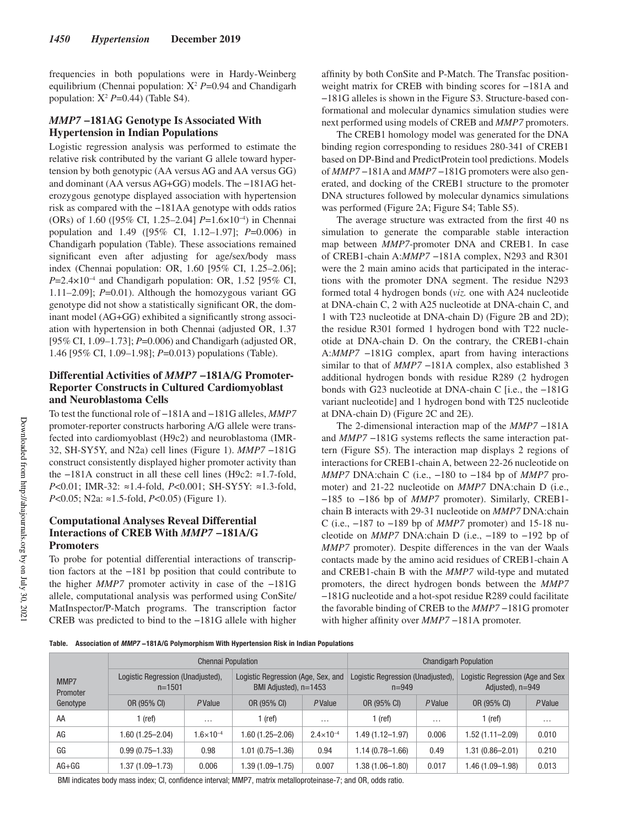frequencies in both populations were in Hardy-Weinberg equilibrium (Chennai population: Χ<sup>2</sup> *P*=0.94 and Chandigarh population: Χ<sup>2</sup> *P*=0.44) (Table S4).

## *MMP7* **−181AG Genotype Is Associated With Hypertension in Indian Populations**

Logistic regression analysis was performed to estimate the relative risk contributed by the variant G allele toward hypertension by both genotypic (AA versus AG and AA versus GG) and dominant (AA versus AG+GG) models. The −181AG heterozygous genotype displayed association with hypertension risk as compared with the −181AA genotype with odds ratios (ORs) of 1.60 ([95% CI, 1.25–2.04] *P*=1.6×10−4) in Chennai population and 1.49 ([95% CI, 1.12–1.97]; *P*=0.006) in Chandigarh population (Table). These associations remained significant even after adjusting for age/sex/body mass index (Chennai population: OR, 1.60 [95% CI, 1.25–2.06]; *P*=2.4×10−4 and Chandigarh population: OR, 1.52 [95% CI, 1.11–2.09]; *P*=0.01). Although the homozygous variant GG genotype did not show a statistically significant OR, the dominant model (AG+GG) exhibited a significantly strong association with hypertension in both Chennai (adjusted OR, 1.37 [95% CI, 1.09–1.73]; *P*=0.006) and Chandigarh (adjusted OR, 1.46 [95% CI, 1.09–1.98]; *P*=0.013) populations (Table).

## **Differential Activities of** *MMP7* **−181A/G Promoter-Reporter Constructs in Cultured Cardiomyoblast and Neuroblastoma Cells**

To test the functional role of −181A and −181G alleles, *MMP7* promoter-reporter constructs harboring A/G allele were transfected into cardiomyoblast (H9c2) and neuroblastoma (IMR-32, SH-SY5Y, and N2a) cell lines (Figure 1). *MMP7* −181G construct consistently displayed higher promoter activity than the −181A construct in all these cell lines (H9c2: ≈1.7-fold, *P*<0.01; IMR-32: ≈1.4-fold, *P*<0.001; SH-SY5Y: ≈1.3-fold, *P*<0.05; N2a: ≈1.5-fold, *P*<0.05) (Figure 1).

## **Computational Analyses Reveal Differential Interactions of CREB With** *MMP7* **−181A/G Promoters**

To probe for potential differential interactions of transcription factors at the −181 bp position that could contribute to the higher *MMP7* promoter activity in case of the −181G allele, computational analysis was performed using ConSite/ MatInspector/P-Match programs. The transcription factor CREB was predicted to bind to the −181G allele with higher

affinity by both ConSite and P-Match. The Transfac positionweight matrix for CREB with binding scores for −181A and −181G alleles is shown in the Figure S3. Structure-based conformational and molecular dynamics simulation studies were next performed using models of CREB and *MMP7* promoters.

The CREB1 homology model was generated for the DNA binding region corresponding to residues 280-341 of CREB1 based on DP-Bind and PredictProtein tool predictions. Models of *MMP7* −181A and *MMP7* −181G promoters were also generated, and docking of the CREB1 structure to the promoter DNA structures followed by molecular dynamics simulations was performed (Figure 2A; Figure S4; Table S5).

The average structure was extracted from the first 40 ns simulation to generate the comparable stable interaction map between *MMP7*-promoter DNA and CREB1. In case of CREB1-chain A:*MMP7* −181A complex, N293 and R301 were the 2 main amino acids that participated in the interactions with the promoter DNA segment. The residue N293 formed total 4 hydrogen bonds (*viz.* one with A24 nucleotide at DNA-chain C, 2 with A25 nucleotide at DNA-chain C, and 1 with T23 nucleotide at DNA-chain D) (Figure 2B and 2D); the residue R301 formed 1 hydrogen bond with T22 nucleotide at DNA-chain D. On the contrary, the CREB1-chain A:*MMP7* −181G complex, apart from having interactions similar to that of *MMP7* −181A complex, also established 3 additional hydrogen bonds with residue R289 (2 hydrogen bonds with G23 nucleotide at DNA-chain C [i.e., the −181G variant nucleotide] and 1 hydrogen bond with T25 nucleotide at DNA-chain D) (Figure 2C and 2E).

The 2-dimensional interaction map of the *MMP7* −181A and *MMP7* −181G systems reflects the same interaction pattern (Figure S5). The interaction map displays 2 regions of interactions for CREB1-chain A, between 22-26 nucleotide on *MMP7* DNA:chain C (i.e., −180 to −184 bp of *MMP7* promoter) and 21-22 nucleotide on *MMP7* DNA:chain D (i.e., −185 to −186 bp of *MMP7* promoter). Similarly, CREB1 chain B interacts with 29-31 nucleotide on *MMP7* DNA:chain C (i.e., −187 to −189 bp of *MMP7* promoter) and 15-18 nucleotide on *MMP7* DNA:chain D (i.e., −189 to −192 bp of *MMP7* promoter). Despite differences in the van der Waals contacts made by the amino acid residues of CREB1-chain A and CREB1-chain B with the *MMP7* wild-type and mutated promoters, the direct hydrogen bonds between the *MMP7* −181G nucleotide and a hot-spot residue R289 could facilitate the favorable binding of CREB to the *MMP7* −181G promoter with higher affinity over *MMP7* −181A promoter.

**Table. Association of MMP7 −181A/G Polymorphism With Hypertension Risk in Indian Populations**

|                              | <b>Chennai Population</b>                     |                      |                                                               |                      | <b>Chandigarh Population</b>                   |                |                                                        |          |
|------------------------------|-----------------------------------------------|----------------------|---------------------------------------------------------------|----------------------|------------------------------------------------|----------------|--------------------------------------------------------|----------|
| MMP7<br>Promoter<br>Genotype | Logistic Regression (Unadjusted),<br>$n=1501$ |                      | Logistic Regression (Age, Sex, and<br>BMI Adjusted), $n=1453$ |                      | Logistic Regression (Unadjusted),<br>$n = 949$ |                | Logistic Regression (Age and Sex<br>Adjusted), $n=949$ |          |
|                              | OR (95% CI)                                   | PValue               | OR (95% CI)                                                   | PValue               | OR (95% CI)                                    | <b>P</b> Value | OR (95% CI)                                            | PValue   |
| AA                           | l (ref)                                       | $\cdots$             | 1 (ref)                                                       | $\cdots$             | 1 (ref)                                        | $\cdots$       | (ref)                                                  | $\cdots$ |
| AG                           | 1.60 (1.25–2.04)                              | $1.6 \times 10^{-4}$ | .60 (1.25–2.06)                                               | $2.4 \times 10^{-4}$ | 1.49 (1.12–1.97)                               | 0.006          | 1.52 (1.11–2.09)                                       | 0.010    |
| GG                           | $0.99(0.75 - 1.33)$                           | 0.98                 | 1.01 (0.75–1.36)                                              | 0.94                 | 1.14 (0.78–1.66)                               | 0.49           | 1.31 (0.86–2.01)                                       | 0.210    |
| $AG+GG$                      | 1.37 (1.09–1.73)                              | 0.006                | .39 (1.09-1.75)                                               | 0.007                | 1.38 (1.06-1.80)                               | 0.017          | 1.46 (1.09-1.98)                                       | 0.013    |

BMI indicates body mass index; CI, confidence interval; MMP7, matrix metalloproteinase-7; and OR, odds ratio.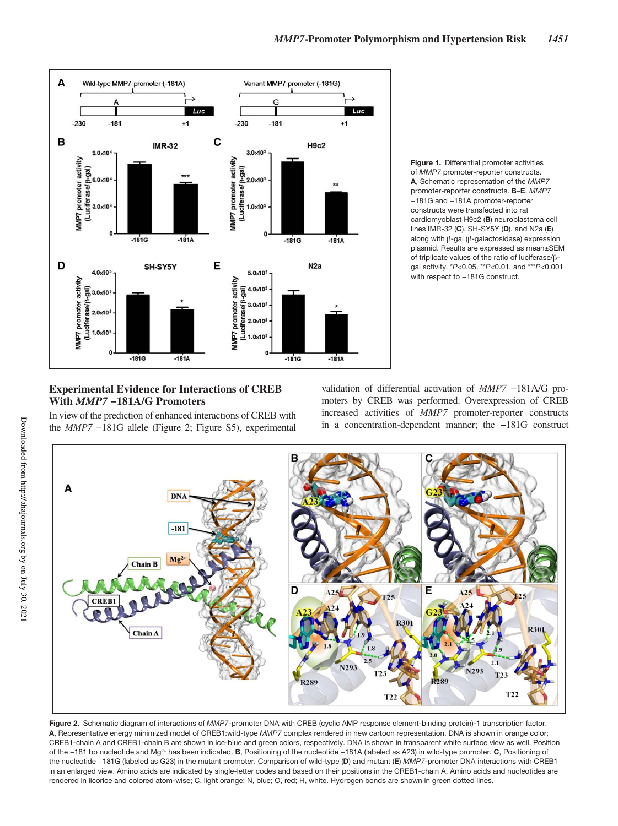



## **Experimental Evidence for Interactions of CREB With** *MMP7* **−181A/G Promoters**

In view of the prediction of enhanced interactions of CREB with the *MMP7* −181G allele (Figure 2; Figure S5), experimental validation of differential activation of *MMP7* −181A/G promoters by CREB was performed. Overexpression of CREB increased activities of *MMP7* promoter-reporter constructs in a concentration-dependent manner; the −181G construct



**Figure 2.** Schematic diagram of interactions of *MMP7*-promoter DNA with CREB (cyclic AMP response element-binding protein)-1 transcription factor. **A**, Representative energy minimized model of CREB1:wild-type *MMP7* complex rendered in new cartoon representation. DNA is shown in orange color; CREB1-chain A and CREB1-chain B are shown in ice-blue and green colors, respectively. DNA is shown in transparent white surface view as well. Position of the −181 bp nucleotide and Mg2+ has been indicated. **B**, Positioning of the nucleotide −181A (labeled as A23) in wild-type promoter. **C**, Positioning of the nucleotide −181G (labeled as G23) in the mutant promoter. Comparison of wild-type (**D**) and mutant (**E**) *MMP7*-promoter DNA interactions with CREB1 in an enlarged view. Amino acids are indicated by single-letter codes and based on their positions in the CREB1-chain A. Amino acids and nucleotides are rendered in licorice and colored atom-wise; C, light orange; N, blue; O, red; H, white. Hydrogen bonds are shown in green dotted lines.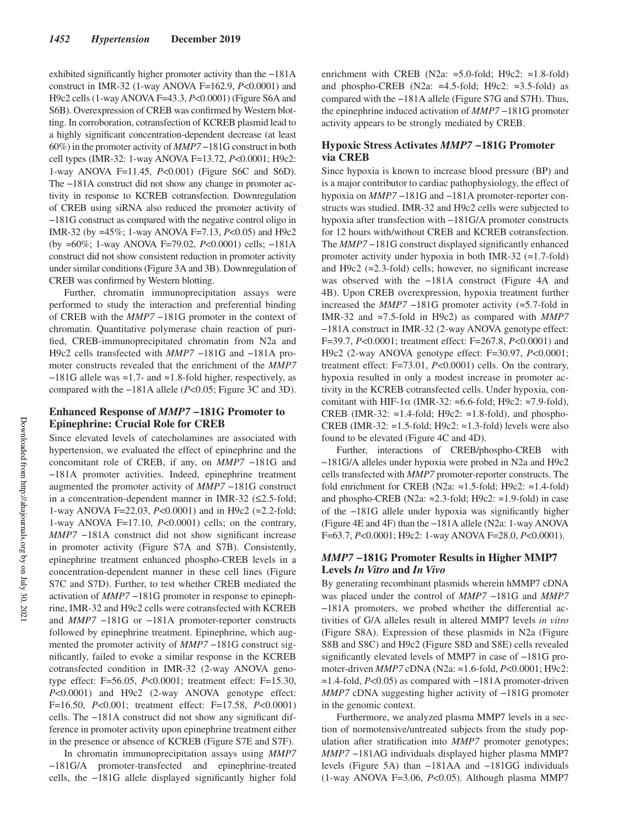exhibited significantly higher promoter activity than the −181A construct in IMR-32 (1-way ANOVA F=162.9, *P*<0.0001) and H9c2 cells (1-way ANOVA F=43.3, *P*<0.0001) (Figure S6A and S6B). Overexpression of CREB was confirmed by Western blotting. In corroboration, cotransfection of KCREB plasmid lead to a highly significant concentration-dependent decrease (at least 60%) in the promoter activity of *MMP7* −181G construct in both cell types (IMR-32: 1-way ANOVA F=13.72, *P*<0.0001; H9c2: 1-way ANOVA F=11.45, *P*<0.001) (Figure S6C and S6D). The −181A construct did not show any change in promoter activity in response to KCREB cotransfection. Downregulation of CREB using siRNA also reduced the promoter activity of −181G construct as compared with the negative control oligo in IMR-32 (by ≈45%; 1-way ANOVA F=7.13, *P*<0.05) and H9c2 (by ≈60%; 1-way ANOVA F=79.02, *P*<0.0001) cells; −181A construct did not show consistent reduction in promoter activity under similar conditions (Figure 3A and 3B). Downregulation of CREB was confirmed by Western blotting.

Further, chromatin immunoprecipitation assays were performed to study the interaction and preferential binding of CREB with the *MMP7* −181G promoter in the context of chromatin. Quantitative polymerase chain reaction of purified, CREB-immunoprecipitated chromatin from N2a and H9c2 cells transfected with *MMP7* −181G and −181A promoter constructs revealed that the enrichment of the *MMP7*  −181G allele was ≈1.7- and ≈1.8-fold higher, respectively, as compared with the −181A allele (*P*<0.05; Figure 3C and 3D).

## **Enhanced Response of** *MMP7* **−181G Promoter to Epinephrine: Crucial Role for CREB**

Since elevated levels of catecholamines are associated with hypertension, we evaluated the effect of epinephrine and the concomitant role of CREB, if any, on *MMP7* −181G and −181A promoter activities. Indeed, epinephrine treatment augmented the promoter activity of *MMP7* −181G construct in a concentration-dependent manner in IMR-32 (≤2.5-fold; 1-way ANOVA F=22.03, *P*<0.0001) and in H9c2 (≈2.2-fold; 1-way ANOVA F=17.10, *P*<0.0001) cells; on the contrary, *MMP7* −181A construct did not show significant increase in promoter activity (Figure S7A and S7B). Consistently, epinephrine treatment enhanced phospho-CREB levels in a concentration-dependent manner in these cell lines (Figure S7C and S7D). Further, to test whether CREB mediated the activation of *MMP7* −181G promoter in response to epinephrine, IMR-32 and H9c2 cells were cotransfected with KCREB and *MMP7* −181G or −181A promoter-reporter constructs followed by epinephrine treatment. Epinephrine, which augmented the promoter activity of *MMP7* −181G construct significantly, failed to evoke a similar response in the KCREB cotransfected condition in IMR-32 (2-way ANOVA genotype effect: F=56.05, *P*<0.0001; treatment effect: F=15.30, *P*<0.0001) and H9c2 (2-way ANOVA genotype effect: F=16.50, *P*<0.001; treatment effect: F=17.58, *P*<0.0001) cells. The −181A construct did not show any significant difference in promoter activity upon epinephrine treatment either in the presence or absence of KCREB (Figure S7E and S7F).

In chromatin immunoprecipitation assays using *MMP7* −181G/A promoter-transfected and epinephrine-treated cells, the −181G allele displayed significantly higher fold

enrichment with CREB (N2a:  $\approx$ 5.0-fold; H9c2:  $\approx$ 1.8-fold) and phospho-CREB (N2a:  $\approx$ 4.5-fold; H9c2:  $\approx$ 3.5-fold) as compared with the −181A allele (Figure S7G and S7H). Thus, the epinephrine induced activation of *MMP7* −181G promoter activity appears to be strongly mediated by CREB.

## **Hypoxic Stress Activates** *MMP7* **−181G Promoter via CREB**

Since hypoxia is known to increase blood pressure (BP) and is a major contributor to cardiac pathophysiology, the effect of hypoxia on *MMP7* −181G and −181A promoter-reporter constructs was studied. IMR-32 and H9c2 cells were subjected to hypoxia after transfection with −181G/A promoter constructs for 12 hours with/without CREB and KCREB cotransfection. The *MMP7* −181G construct displayed significantly enhanced promoter activity under hypoxia in both IMR-32  $(\approx 1.7 \text{-fold})$ and H9c2 ( $\approx$ 2.3-fold) cells; however, no significant increase was observed with the −181A construct (Figure 4A and 4B). Upon CREB overexpression, hypoxia treatment further increased the *MMP7* −181G promoter activity (≈5.7-fold in IMR-32 and ≈7.5-fold in H9c2) as compared with *MMP7* −181A construct in IMR-32 (2-way ANOVA genotype effect: F=39.7, *P*<0.0001; treatment effect: F=267.8, *P*<0.0001) and H9c2 (2-way ANOVA genotype effect: F=30.97, *P*<0.0001; treatment effect: F=73.01, *P*<0.0001) cells. On the contrary, hypoxia resulted in only a modest increase in promoter activity in the KCREB cotransfected cells. Under hypoxia, concomitant with HIF-1 $\alpha$  (IMR-32:  $\approx$ 6.6-fold; H9c2:  $\approx$ 7.9-fold), CREB (IMR-32: ≈1.4-fold; H9c2: ≈1.8-fold), and phospho-CREB (IMR-32: ≈1.5-fold; H9c2: ≈1.3-fold) levels were also found to be elevated (Figure 4C and 4D).

Further, interactions of CREB/phospho-CREB with −181G/A alleles under hypoxia were probed in N2a and H9c2 cells transfected with *MMP7* promoter-reporter constructs. The fold enrichment for CREB (N2a:  $\approx$ 1.5-fold; H9c2:  $\approx$ 1.4-fold) and phospho-CREB (N2a: ≈2.3-fold; H9c2: ≈1.9-fold) in case of the −181G allele under hypoxia was significantly higher (Figure 4E and 4F) than the −181A allele (N2a: 1-way ANOVA F=63.7, *P*<0.0001; H9c2: 1-way ANOVA F=28.0, *P*<0.0001).

## *MMP7* **−181G Promoter Results in Higher MMP7 Levels** *In Vitro* **and** *In Vivo*

By generating recombinant plasmids wherein hMMP7 cDNA was placed under the control of *MMP7* −181G and *MMP7* −181A promoters, we probed whether the differential activities of G/A alleles result in altered MMP7 levels *in vitro* (Figure S8A). Expression of these plasmids in N2a (Figure S8B and S8C) and H9c2 (Figure S8D and S8E) cells revealed significantly elevated levels of MMP7 in case of −181G promoter-driven *MMP7* cDNA (N2a: ≈1.6-fold, *P*<0.0001; H9c2: ≈1.4-fold, *P*<0.05) as compared with −181A promoter-driven *MMP7* cDNA suggesting higher activity of −181G promoter in the genomic context.

Furthermore, we analyzed plasma MMP7 levels in a section of normotensive/untreated subjects from the study population after stratification into *MMP7* promoter genotypes; *MMP7* −181AG individuals displayed higher plasma MMP7 levels (Figure 5A) than −181AA and −181GG individuals (1-way ANOVA F=3.06, *P*<0.05). Although plasma MMP7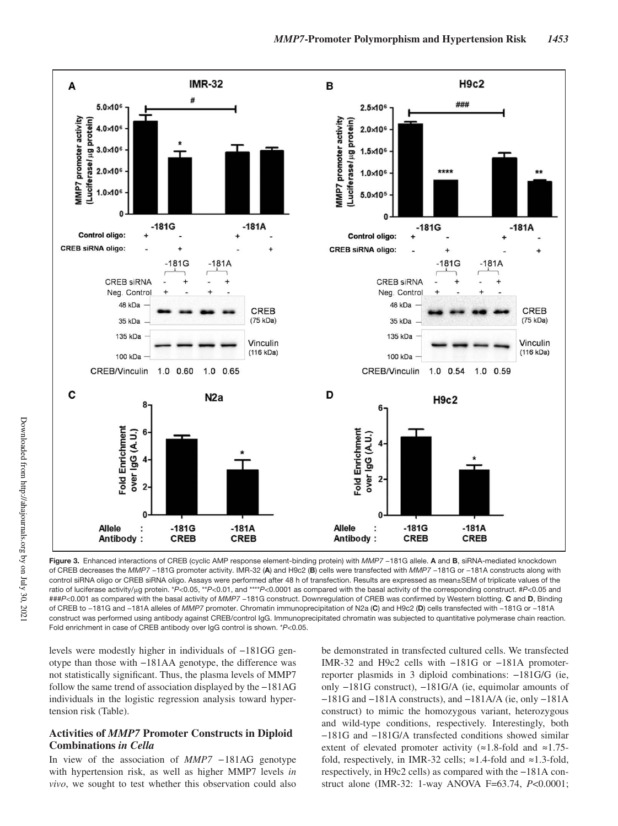

**Figure 3.** Enhanced interactions of CREB (cyclic AMP response element-binding protein) with *MMP7* −181G allele. **A** and **B**, siRNA-mediated knockdown of CREB decreases the *MMP7* −181G promoter activity. IMR-32 (**A**) and H9c2 (**B**) cells were transfected with *MMP7* −181G or −181A constructs along with control siRNA oligo or CREB siRNA oligo. Assays were performed after 48 h of transfection. Results are expressed as mean±SEM of triplicate values of the ratio of luciferase activity/μg protein. \**P*<0.05, \*\**P*<0.01, and \*\*\*\**P*<0.0001 as compared with the basal activity of the corresponding construct. #*P*<0.05 and ###*P*<0.001 as compared with the basal activity of *MMP7* −181G construct. Downregulation of CREB was confirmed by Western blotting. **C** and **D**, Binding of CREB to −181G and −181A alleles of *MMP7* promoter. Chromatin immunoprecipitation of N2a (**C**) and H9c2 (**D**) cells transfected with −181G or −181A construct was performed using antibody against CREB/control IgG. Immunoprecipitated chromatin was subjected to quantitative polymerase chain reaction. Fold enrichment in case of CREB antibody over IgG control is shown. \**P*<0.05.

levels were modestly higher in individuals of −181GG genotype than those with −181AA genotype, the difference was not statistically significant. Thus, the plasma levels of MMP7 follow the same trend of association displayed by the −181AG individuals in the logistic regression analysis toward hypertension risk (Table).

## **Activities of** *MMP7* **Promoter Constructs in Diploid Combinations** *in Cella*

In view of the association of *MMP7 −*181AG genotype with hypertension risk, as well as higher MMP7 levels *in vivo*, we sought to test whether this observation could also be demonstrated in transfected cultured cells. We transfected IMR-32 and H9c2 cells with −181G or −181A promoterreporter plasmids in 3 diploid combinations: −181G/G (ie, only −181G construct), −181G/A (ie, equimolar amounts of −181G and −181A constructs), and −181A/A (ie, only −181A construct) to mimic the homozygous variant, heterozygous and wild-type conditions, respectively. Interestingly, both −181G and −181G/A transfected conditions showed similar extent of elevated promoter activity (≈1.8-fold and ≈1.75 fold, respectively, in IMR-32 cells;  $\approx$ 1.4-fold and  $\approx$ 1.3-fold, respectively, in H9c2 cells) as compared with the −181A construct alone (IMR-32: 1-way ANOVA F=63.74, *P*<0.0001;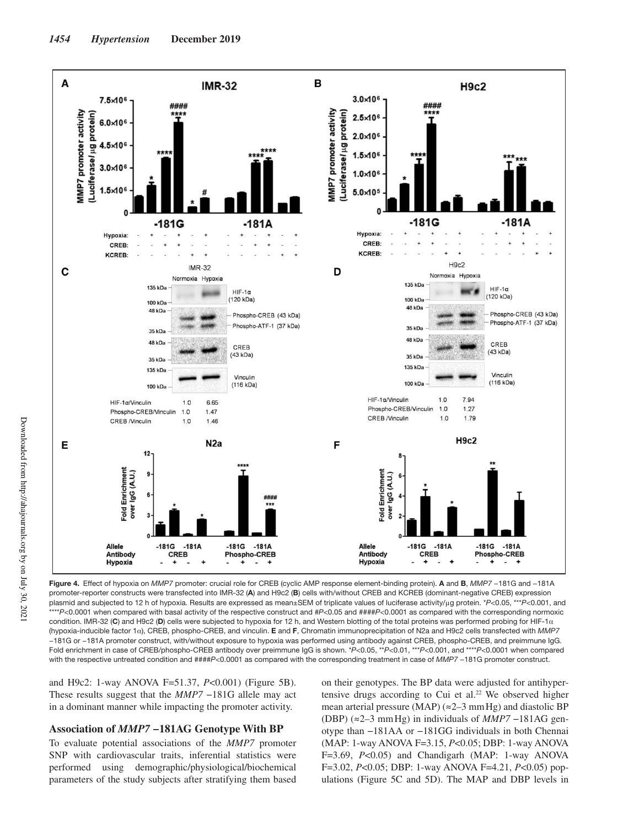

**Figure 4.** Effect of hypoxia on *MMP7* promoter: crucial role for CREB (cyclic AMP response element-binding protein). **A** and **B**, *MMP7* −181G and −181A promoter-reporter constructs were transfected into IMR-32 (**A**) and H9c2 (**B**) cells with/without CREB and KCREB (dominant-negative CREB) expression plasmid and subjected to 12 h of hypoxia. Results are expressed as mean±SEM of triplicate values of luciferase activity/μg protein. \**P*<0.05, \*\*\**P*<0.001, and \*\*\*\**P*<0.0001 when compared with basal activity of the respective construct and #*P*<0.05 and ####*P*<0.0001 as compared with the corresponding normoxic condition. IMR-32 (**C**) and H9c2 (**D**) cells were subjected to hypoxia for 12 h, and Western blotting of the total proteins was performed probing for HIF-1α (hypoxia-inducible factor 1α), CREB, phospho-CREB, and vinculin. **E** and **F**, Chromatin immunoprecipitation of N2a and H9c2 cells transfected with *MMP7* −181G or −181A promoter construct, with/without exposure to hypoxia was performed using antibody against CREB, phospho-CREB, and preimmune IgG. Fold enrichment in case of CREB/phospho-CREB antibody over preimmune IgG is shown. \**P*<0.05, \*\**P*<0.01, \*\*\**P*<0.001, and \*\*\*\**P*<0.0001 when compared with the respective untreated condition and ####P<0.0001 as compared with the corresponding treatment in case of *MMP7* −181G promoter construct.

and H9c2: 1-way ANOVA F=51.37, *P*<0.001) (Figure 5B). These results suggest that the *MMP7* −181G allele may act in a dominant manner while impacting the promoter activity.

### **Association of** *MMP7* **−181AG Genotype With BP**

To evaluate potential associations of the *MMP7* promoter SNP with cardiovascular traits, inferential statistics were performed using demographic/physiological/biochemical parameters of the study subjects after stratifying them based on their genotypes. The BP data were adjusted for antihypertensive drugs according to Cui et al.<sup>22</sup> We observed higher mean arterial pressure (MAP) ( $\approx$ 2–3 mm Hg) and diastolic BP (DBP) (≈2–3 mm Hg) in individuals of *MMP7* −181AG genotype than −181AA or −181GG individuals in both Chennai (MAP: 1-way ANOVA F=3.15, *P*<0.05; DBP: 1-way ANOVA F=3.69, *P*<0.05) and Chandigarh (MAP: 1-way ANOVA F=3.02, *P*<0.05; DBP: 1-way ANOVA F=4.21, *P*<0.05) populations (Figure 5C and 5D). The MAP and DBP levels in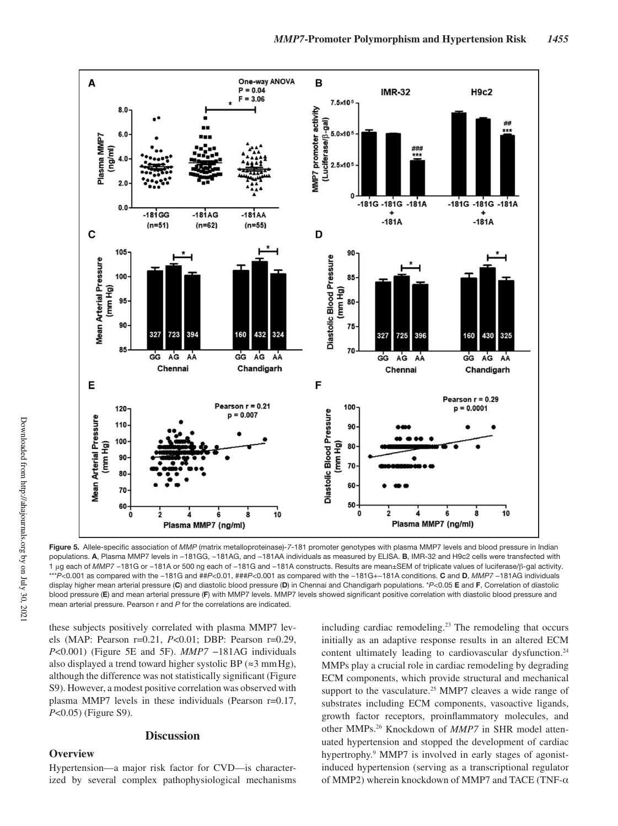

**Figure 5.** Allele-specific association of *MMP* (matrix metalloproteinase)*-7*-181 promoter genotypes with plasma MMP7 levels and blood pressure in Indian populations. **A**, Plasma MMP7 levels in −181GG, −181AG, and −181AA individuals as measured by ELISA. **B**, IMR-32 and H9c2 cells were transfected with 1 μg each of *MMP7* −181G or −181A or 500 ng each of −181G and −181A constructs. Results are mean±SEM of triplicate values of luciferase/β-gal activity. \*\*\**P*<0.001 as compared with the −181G and ##*P*<0.01, ###*P*<0.001 as compared with the −181G+−181A conditions. **C** and **D**, *MMP7* −181AG individuals display higher mean arterial pressure (**C**) and diastolic blood pressure (**D**) in Chennai and Chandigarh populations. \**P*<0.05 **E** and **F**, Correlation of diastolic blood pressure (**E**) and mean arterial pressure (**F**) with MMP7 levels. MMP7 levels showed significant positive correlation with diastolic blood pressure and mean arterial pressure. Pearson r and *P* for the correlations are indicated.

these subjects positively correlated with plasma MMP7 levels (MAP: Pearson r=0.21, *P*<0.01; DBP: Pearson r=0.29, *P*<0.001) (Figure 5E and 5F). *MMP7* −181AG individuals also displayed a trend toward higher systolic BP ( $\approx$ 3 mm Hg), although the difference was not statistically significant (Figure S9). However, a modest positive correlation was observed with plasma MMP7 levels in these individuals (Pearson r=0.17, *P*<0.05) (Figure S9).

## **Discussion**

## **Overview**

Hypertension—a major risk factor for CVD—is characterized by several complex pathophysiological mechanisms including cardiac remodeling.<sup>23</sup> The remodeling that occurs initially as an adaptive response results in an altered ECM content ultimately leading to cardiovascular dysfunction.<sup>24</sup> MMPs play a crucial role in cardiac remodeling by degrading ECM components, which provide structural and mechanical support to the vasculature.<sup>25</sup> MMP7 cleaves a wide range of substrates including ECM components, vasoactive ligands, growth factor receptors, proinflammatory molecules, and other MMPs.26 Knockdown of *MMP7* in SHR model attenuated hypertension and stopped the development of cardiac hypertrophy.<sup>9</sup> MMP7 is involved in early stages of agonistinduced hypertension (serving as a transcriptional regulator of MMP2) wherein knockdown of MMP7 and TACE (TNF-α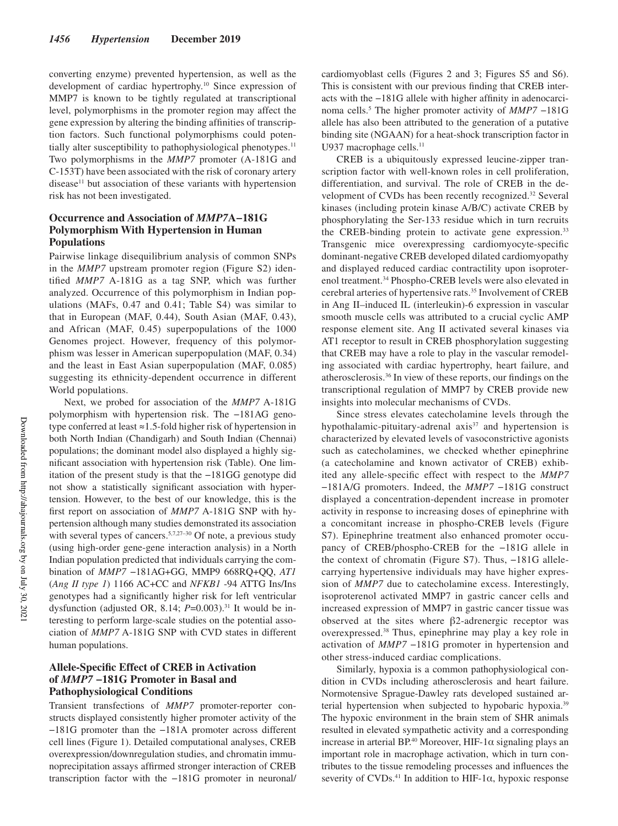converting enzyme) prevented hypertension, as well as the development of cardiac hypertrophy.<sup>10</sup> Since expression of MMP7 is known to be tightly regulated at transcriptional level, polymorphisms in the promoter region may affect the gene expression by altering the binding affinities of transcription factors. Such functional polymorphisms could potentially alter susceptibility to pathophysiological phenotypes.<sup>11</sup> Two polymorphisms in the *MMP7* promoter (A-181G and C-153T) have been associated with the risk of coronary artery disease<sup>11</sup> but association of these variants with hypertension risk has not been investigated.

## **Occurrence and Association of** *MMP7***A−181G Polymorphism With Hypertension in Human Populations**

Pairwise linkage disequilibrium analysis of common SNPs in the *MMP7* upstream promoter region (Figure S2) identified *MMP7* A-181G as a tag SNP, which was further analyzed. Occurrence of this polymorphism in Indian populations (MAFs, 0.47 and 0.41; Table S4) was similar to that in European (MAF, 0.44), South Asian (MAF, 0.43), and African (MAF, 0.45) superpopulations of the 1000 Genomes project. However, frequency of this polymorphism was lesser in American superpopulation (MAF, 0.34) and the least in East Asian superpopulation (MAF, 0.085) suggesting its ethnicity-dependent occurrence in different World populations.

Next, we probed for association of the *MMP7* A-181G polymorphism with hypertension risk. The −181AG genotype conferred at least ≈1.5-fold higher risk of hypertension in both North Indian (Chandigarh) and South Indian (Chennai) populations; the dominant model also displayed a highly significant association with hypertension risk (Table). One limitation of the present study is that the −181GG genotype did not show a statistically significant association with hypertension. However, to the best of our knowledge, this is the first report on association of *MMP7* A-181G SNP with hypertension although many studies demonstrated its association with several types of cancers.<sup>5,7,27–30</sup> Of note, a previous study (using high-order gene-gene interaction analysis) in a North Indian population predicted that individuals carrying the combination of *MMP7* −181AG+GG, MMP9 668RQ+QQ, *AT1*  (*Ang II type 1*) 1166 AC+CC and *NFKB1* -94 ATTG Ins/Ins genotypes had a significantly higher risk for left ventricular dysfunction (adjusted OR, 8.14; *P*=0.003).<sup>31</sup> It would be interesting to perform large-scale studies on the potential association of *MMP7* A-181G SNP with CVD states in different human populations.

## **Allele-Specific Effect of CREB in Activation of** *MMP7* **−181G Promoter in Basal and Pathophysiological Conditions**

Transient transfections of *MMP7* promoter-reporter constructs displayed consistently higher promoter activity of the −181G promoter than the −181A promoter across different cell lines (Figure 1). Detailed computational analyses, CREB overexpression/downregulation studies, and chromatin immunoprecipitation assays affirmed stronger interaction of CREB transcription factor with the −181G promoter in neuronal/

cardiomyoblast cells (Figures 2 and 3; Figures S5 and S6). This is consistent with our previous finding that CREB interacts with the −181G allele with higher affinity in adenocarcinoma cells.<sup>5</sup> The higher promoter activity of *MMP7* −181G allele has also been attributed to the generation of a putative binding site (NGAAN) for a heat-shock transcription factor in U937 macrophage cells.<sup>11</sup>

CREB is a ubiquitously expressed leucine-zipper transcription factor with well-known roles in cell proliferation, differentiation, and survival. The role of CREB in the development of CVDs has been recently recognized.<sup>32</sup> Several kinases (including protein kinase A/B/C) activate CREB by phosphorylating the Ser-133 residue which in turn recruits the CREB-binding protein to activate gene expression.<sup>33</sup> Transgenic mice overexpressing cardiomyocyte-specific dominant-negative CREB developed dilated cardiomyopathy and displayed reduced cardiac contractility upon isoproterenol treatment.<sup>34</sup> Phospho-CREB levels were also elevated in cerebral arteries of hypertensive rats.<sup>35</sup> Involvement of CREB in Ang II–induced IL (interleukin)-6 expression in vascular smooth muscle cells was attributed to a crucial cyclic AMP response element site. Ang II activated several kinases via AT1 receptor to result in CREB phosphorylation suggesting that CREB may have a role to play in the vascular remodeling associated with cardiac hypertrophy, heart failure, and atherosclerosis.<sup>36</sup> In view of these reports, our findings on the transcriptional regulation of MMP7 by CREB provide new insights into molecular mechanisms of CVDs.

Since stress elevates catecholamine levels through the hypothalamic-pituitary-adrenal  $axis^{37}$  and hypertension is characterized by elevated levels of vasoconstrictive agonists such as catecholamines, we checked whether epinephrine (a catecholamine and known activator of CREB) exhibited any allele-specific effect with respect to the *MMP7* −181A/G promoters. Indeed, the *MMP7* −181G construct displayed a concentration-dependent increase in promoter activity in response to increasing doses of epinephrine with a concomitant increase in phospho-CREB levels (Figure S7). Epinephrine treatment also enhanced promoter occupancy of CREB/phospho-CREB for the −181G allele in the context of chromatin (Figure S7). Thus, −181G allelecarrying hypertensive individuals may have higher expression of *MMP7* due to catecholamine excess. Interestingly, isoproterenol activated MMP7 in gastric cancer cells and increased expression of MMP7 in gastric cancer tissue was observed at the sites where β2-adrenergic receptor was overexpressed.<sup>38</sup> Thus, epinephrine may play a key role in activation of *MMP7* −181G promoter in hypertension and other stress-induced cardiac complications.

Similarly, hypoxia is a common pathophysiological condition in CVDs including atherosclerosis and heart failure. Normotensive Sprague-Dawley rats developed sustained arterial hypertension when subjected to hypobaric hypoxia.<sup>39</sup> The hypoxic environment in the brain stem of SHR animals resulted in elevated sympathetic activity and a corresponding increase in arterial BP.<sup>40</sup> Moreover, HIF-1 $\alpha$  signaling plays an important role in macrophage activation, which in turn contributes to the tissue remodeling processes and influences the severity of CVDs.<sup>41</sup> In addition to HIF-1 $\alpha$ , hypoxic response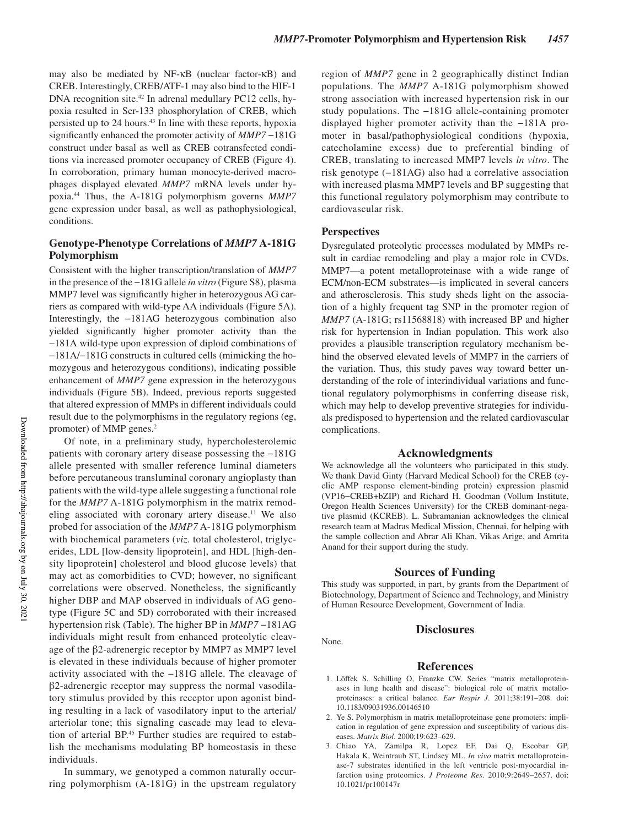may also be mediated by NF-κB (nuclear factor-κB) and CREB. Interestingly, CREB/ATF-1 may also bind to the HIF-1 DNA recognition site.<sup>42</sup> In adrenal medullary PC12 cells, hypoxia resulted in Ser-133 phosphorylation of CREB, which persisted up to 24 hours.<sup>43</sup> In line with these reports, hypoxia significantly enhanced the promoter activity of *MMP7* −181G construct under basal as well as CREB cotransfected conditions via increased promoter occupancy of CREB (Figure 4). In corroboration, primary human monocyte-derived macrophages displayed elevated *MMP7* mRNA levels under hypoxia.<sup>44</sup> Thus, the A-181G polymorphism governs *MMP7* gene expression under basal, as well as pathophysiological, conditions.

## **Genotype-Phenotype Correlations of** *MMP7* **A-181G Polymorphism**

Consistent with the higher transcription/translation of *MMP7* in the presence of the −181G allele *in vitro* (Figure S8), plasma MMP7 level was significantly higher in heterozygous AG carriers as compared with wild-type AA individuals (Figure 5A). Interestingly, the −181AG heterozygous combination also yielded significantly higher promoter activity than the −181A wild-type upon expression of diploid combinations of −181A/−181G constructs in cultured cells (mimicking the homozygous and heterozygous conditions), indicating possible enhancement of *MMP7* gene expression in the heterozygous individuals (Figure 5B). Indeed, previous reports suggested that altered expression of MMPs in different individuals could result due to the polymorphisms in the regulatory regions (eg, promoter) of MMP genes.<sup>2</sup>

Of note, in a preliminary study, hypercholesterolemic patients with coronary artery disease possessing the −181G allele presented with smaller reference luminal diameters before percutaneous transluminal coronary angioplasty than patients with the wild-type allele suggesting a functional role for the *MMP7* A-181G polymorphism in the matrix remodeling associated with coronary artery disease.<sup>11</sup> We also probed for association of the *MMP7* A-181G polymorphism with biochemical parameters (*viz.* total cholesterol, triglycerides, LDL [low-density lipoprotein], and HDL [high-density lipoprotein] cholesterol and blood glucose levels) that may act as comorbidities to CVD; however, no significant correlations were observed. Nonetheless, the significantly higher DBP and MAP observed in individuals of AG genotype (Figure 5C and 5D) corroborated with their increased hypertension risk (Table). The higher BP in *MMP7* −181AG individuals might result from enhanced proteolytic cleavage of the β2-adrenergic receptor by MMP7 as MMP7 level is elevated in these individuals because of higher promoter activity associated with the −181G allele. The cleavage of β2-adrenergic receptor may suppress the normal vasodilatory stimulus provided by this receptor upon agonist binding resulting in a lack of vasodilatory input to the arterial/ arteriolar tone; this signaling cascade may lead to elevation of arterial BP.<sup>45</sup> Further studies are required to establish the mechanisms modulating BP homeostasis in these individuals.

In summary, we genotyped a common naturally occurring polymorphism (A-181G) in the upstream regulatory region of *MMP7* gene in 2 geographically distinct Indian populations. The *MMP7* A-181G polymorphism showed strong association with increased hypertension risk in our study populations. The −181G allele-containing promoter displayed higher promoter activity than the −181A promoter in basal/pathophysiological conditions (hypoxia, catecholamine excess) due to preferential binding of CREB, translating to increased MMP7 levels *in vitro*. The risk genotype (−181AG) also had a correlative association with increased plasma MMP7 levels and BP suggesting that this functional regulatory polymorphism may contribute to cardiovascular risk.

#### **Perspectives**

None.

Dysregulated proteolytic processes modulated by MMPs result in cardiac remodeling and play a major role in CVDs. MMP7—a potent metalloproteinase with a wide range of ECM/non-ECM substrates—is implicated in several cancers and atherosclerosis. This study sheds light on the association of a highly frequent tag SNP in the promoter region of *MMP7* (A-181G; rs11568818) with increased BP and higher risk for hypertension in Indian population. This work also provides a plausible transcription regulatory mechanism behind the observed elevated levels of MMP7 in the carriers of the variation. Thus, this study paves way toward better understanding of the role of interindividual variations and functional regulatory polymorphisms in conferring disease risk, which may help to develop preventive strategies for individuals predisposed to hypertension and the related cardiovascular complications.

#### **Acknowledgments**

We acknowledge all the volunteers who participated in this study. We thank David Ginty (Harvard Medical School) for the CREB (cyclic AMP response element-binding protein) expression plasmid (VP16−CREB+bZIP) and Richard H. Goodman (Vollum Institute, Oregon Health Sciences University) for the CREB dominant-negative plasmid (KCREB). L. Subramanian acknowledges the clinical research team at Madras Medical Mission, Chennai, for helping with the sample collection and Abrar Ali Khan, Vikas Arige, and Amrita Anand for their support during the study.

#### **Sources of Funding**

This study was supported, in part, by grants from the Department of Biotechnology, Department of Science and Technology, and Ministry of Human Resource Development, Government of India.

## **Disclosures**

## **References**

- 1. Löffek S, Schilling O, Franzke CW. Series "matrix metalloproteinases in lung health and disease": biological role of matrix metalloproteinases: a critical balance. *Eur Respir J*. 2011;38:191–208. doi: 10.1183/09031936.00146510
- 2. Ye S. Polymorphism in matrix metalloproteinase gene promoters: implication in regulation of gene expression and susceptibility of various diseases. *Matrix Biol*. 2000;19:623–629.
- 3. Chiao YA, Zamilpa R, Lopez EF, Dai Q, Escobar GP, Hakala K, Weintraub ST, Lindsey ML. *In vivo* matrix metalloproteinase-7 substrates identified in the left ventricle post-myocardial infarction using proteomics. *J Proteome Res*. 2010;9:2649–2657. doi: 10.1021/pr100147r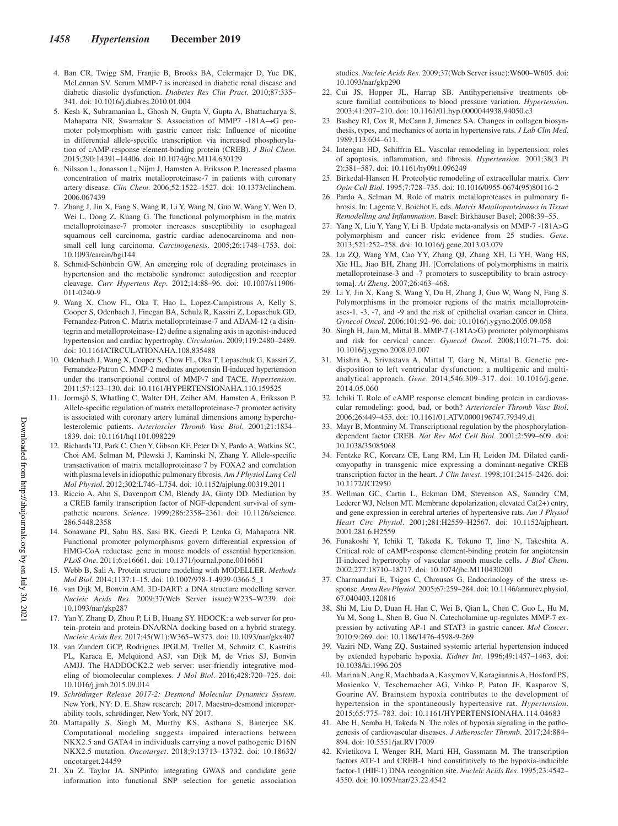- 4. Ban CR, Twigg SM, Franjic B, Brooks BA, Celermajer D, Yue DK, McLennan SV. Serum MMP-7 is increased in diabetic renal disease and diabetic diastolic dysfunction. *Diabetes Res Clin Pract*. 2010;87:335– 341. doi: 10.1016/j.diabres.2010.01.004
- 5. Kesh K, Subramanian L, Ghosh N, Gupta V, Gupta A, Bhattacharya S, Mahapatra NR, Swarnakar S. Association of MMP7 -181A→G promoter polymorphism with gastric cancer risk: Influence of nicotine in differential allele-specific transcription via increased phosphorylation of cAMP-response element-binding protein (CREB). *J Biol Chem*. 2015;290:14391–14406. doi: 10.1074/jbc.M114.630129
- 6. Nilsson L, Jonasson L, Nijm J, Hamsten A, Eriksson P. Increased plasma concentration of matrix metalloproteinase-7 in patients with coronary artery disease. *Clin Chem*. 2006;52:1522–1527. doi: 10.1373/clinchem. 2006.067439
- 7. Zhang J, Jin X, Fang S, Wang R, Li Y, Wang N, Guo W, Wang Y, Wen D, Wei L, Dong Z, Kuang G. The functional polymorphism in the matrix metalloproteinase-7 promoter increases susceptibility to esophageal squamous cell carcinoma, gastric cardiac adenocarcinoma and nonsmall cell lung carcinoma. *Carcinogenesis*. 2005;26:1748–1753. doi: 10.1093/carcin/bgi144
- 8. Schmid-Schönbein GW. An emerging role of degrading proteinases in hypertension and the metabolic syndrome: autodigestion and receptor cleavage. *Curr Hypertens Rep*. 2012;14:88–96. doi: 10.1007/s11906- 011-0240-9
- 9. Wang X, Chow FL, Oka T, Hao L, Lopez-Campistrous A, Kelly S, Cooper S, Odenbach J, Finegan BA, Schulz R, Kassiri Z, Lopaschuk GD, Fernandez-Patron C. Matrix metalloproteinase-7 and ADAM-12 (a disintegrin and metalloproteinase-12) define a signaling axis in agonist-induced hypertension and cardiac hypertrophy. *Circulation*. 2009;119:2480–2489. doi: 10.1161/CIRCULATIONAHA.108.835488
- 10. Odenbach J, Wang X, Cooper S, Chow FL, Oka T, Lopaschuk G, Kassiri Z, Fernandez-Patron C. MMP-2 mediates angiotensin II-induced hypertension under the transcriptional control of MMP-7 and TACE. *Hypertension*. 2011;57:123–130. doi: 10.1161/HYPERTENSIONAHA.110.159525
- 11. Jormsjö S, Whatling C, Walter DH, Zeiher AM, Hamsten A, Eriksson P. Allele-specific regulation of matrix metalloproteinase-7 promoter activity is associated with coronary artery luminal dimensions among hypercholesterolemic patients. *Arterioscler Thromb Vasc Biol*. 2001;21:1834– 1839. doi: 10.1161/hq1101.098229
- 12. Richards TJ, Park C, Chen Y, Gibson KF, Peter Di Y, Pardo A, Watkins SC, Choi AM, Selman M, Pilewski J, Kaminski N, Zhang Y. Allele-specific transactivation of matrix metalloproteinase 7 by FOXA2 and correlation with plasma levels in idiopathic pulmonary fibrosis. *Am J Physiol Lung Cell Mol Physiol*. 2012;302:L746–L754. doi: 10.1152/ajplung.00319.2011
- 13. Riccio A, Ahn S, Davenport CM, Blendy JA, Ginty DD. Mediation by a CREB family transcription factor of NGF-dependent survival of sympathetic neurons. *Science*. 1999;286:2358–2361. doi: 10.1126/science. 286.5448.2358
- 14. Sonawane PJ, Sahu BS, Sasi BK, Geedi P, Lenka G, Mahapatra NR. Functional promoter polymorphisms govern differential expression of HMG-CoA reductase gene in mouse models of essential hypertension. *PLoS One*. 2011;6:e16661. doi: 10.1371/journal.pone.0016661
- 15. Webb B, Sali A. Protein structure modeling with MODELLER. *Methods Mol Biol*. 2014;1137:1–15. doi: 10.1007/978-1-4939-0366-5\_1
- 16. van Dijk M, Bonvin AM. 3D-DART: a DNA structure modelling server. *Nucleic Acids Res*. 2009;37(Web Server issue):W235–W239. doi: 10.1093/nar/gkp287
- 17. Yan Y, Zhang D, Zhou P, Li B, Huang SY. HDOCK: a web server for protein-protein and protein-DNA/RNA docking based on a hybrid strategy. *Nucleic Acids Res*. 2017;45(W1):W365–W373. doi: 10.1093/nar/gkx407
- 18. van Zundert GCP, Rodrigues JPGLM, Trellet M, Schmitz C, Kastritis PL, Karaca E, Melquiond ASJ, van Dijk M, de Vries SJ, Bonvin AMJJ. The HADDOCK2.2 web server: user-friendly integrative modeling of biomolecular complexes. *J Mol Biol*. 2016;428:720–725. doi: 10.1016/j.jmb.2015.09.014
- 19. *Schrödinger Release 2017-2: Desmond Molecular Dynamics System*. New York, NY: D. E. Shaw research; 2017. Maestro-desmond interoperability tools, schrödinger, New York, NY 2017.
- 20. Mattapally S, Singh M, Murthy KS, Asthana S, Banerjee SK. Computational modeling suggests impaired interactions between NKX2.5 and GATA4 in individuals carrying a novel pathogenic D16N NKX2.5 mutation. *Oncotarget*. 2018;9:13713–13732. doi: 10.18632/ oncotarget.24459
- 21. Xu Z, Taylor JA. SNPinfo: integrating GWAS and candidate gene information into functional SNP selection for genetic association

studies. *Nucleic Acids Res*. 2009;37(Web Server issue):W600–W605. doi: 10.1093/nar/gkp290

- 22. Cui JS, Hopper JL, Harrap SB. Antihypertensive treatments obscure familial contributions to blood pressure variation. *Hypertension*. 2003;41:207–210. doi: 10.1161/01.hyp.0000044938.94050.e3
- 23. Bashey RI, Cox R, McCann J, Jimenez SA. Changes in collagen biosynthesis, types, and mechanics of aorta in hypertensive rats. *J Lab Clin Med*. 1989;113:604–611.
- 24. Intengan HD, Schiffrin EL. Vascular remodeling in hypertension: roles of apoptosis, inflammation, and fibrosis. *Hypertension*. 2001;38(3 Pt 2):581–587. doi: 10.1161/hy09t1.096249
- 25. Birkedal-Hansen H. Proteolytic remodeling of extracellular matrix. *Curr Opin Cell Biol*. 1995;7:728–735. doi: 10.1016/0955-0674(95)80116-2
- 26. Pardo A, Selman M. Role of matrix metalloproteases in pulmonary fibrosis. In: Lagente V, Boichot E, eds. *Matrix Metalloproteinases in Tissue Remodelling and Inflammation*. Basel: Birkhäuser Basel; 2008:39–55.
- 27. Yang X, Liu Y, Yang Y, Li B. Update meta-analysis on MMP-7 -181A>G polymorphism and cancer risk: evidence from 25 studies. *Gene*. 2013;521:252–258. doi: 10.1016/j.gene.2013.03.079
- 28. Lu ZQ, Wang YM, Cao YY, Zhang QJ, Zhang XH, Li YH, Wang HS, Xie HL, Jiao BH, Zhang JH. [Correlations of polymorphisms in matrix metalloproteinase-3 and -7 promoters to susceptibility to brain astrocytoma]. *Ai Zheng*. 2007;26:463–468.
- 29. Li Y, Jin X, Kang S, Wang Y, Du H, Zhang J, Guo W, Wang N, Fang S. Polymorphisms in the promoter regions of the matrix metalloproteinases-1, -3, -7, and -9 and the risk of epithelial ovarian cancer in China. *Gynecol Oncol*. 2006;101:92–96. doi: 10.1016/j.ygyno.2005.09.058
- 30. Singh H, Jain M, Mittal B. MMP-7 (-181A>G) promoter polymorphisms and risk for cervical cancer. *Gynecol Oncol*. 2008;110:71–75. doi: 10.1016/j.ygyno.2008.03.007
- 31. Mishra A, Srivastava A, Mittal T, Garg N, Mittal B. Genetic predisposition to left ventricular dysfunction: a multigenic and multianalytical approach. *Gene*. 2014;546:309–317. doi: 10.1016/j.gene. 2014.05.060
- 32. Ichiki T. Role of cAMP response element binding protein in cardiovascular remodeling: good, bad, or both? *Arterioscler Thromb Vasc Biol*. 2006;26:449–455. doi: 10.1161/01.ATV.0000196747.79349.d1
- 33. Mayr B, Montminy M. Transcriptional regulation by the phosphorylationdependent factor CREB. *Nat Rev Mol Cell Biol*. 2001;2:599–609. doi: 10.1038/35085068
- 34. Fentzke RC, Korcarz CE, Lang RM, Lin H, Leiden JM. Dilated cardiomyopathy in transgenic mice expressing a dominant-negative CREB transcription factor in the heart. *J Clin Invest*. 1998;101:2415–2426. doi: 10.1172/JCI2950
- 35. Wellman GC, Cartin L, Eckman DM, Stevenson AS, Saundry CM, Lederer WJ, Nelson MT. Membrane depolarization, elevated Ca(2+) entry, and gene expression in cerebral arteries of hypertensive rats. *Am J Physiol Heart Circ Physiol*. 2001;281:H2559–H2567. doi: 10.1152/ajpheart. 2001.281.6.H2559
- 36. Funakoshi Y, Ichiki T, Takeda K, Tokuno T, Iino N, Takeshita A. Critical role of cAMP-response element-binding protein for angiotensin II-induced hypertrophy of vascular smooth muscle cells. *J Biol Chem*. 2002;277:18710–18717. doi: 10.1074/jbc.M110430200
- 37. Charmandari E, Tsigos C, Chrousos G. Endocrinology of the stress response. *Annu Rev Physiol*. 2005;67:259–284. doi: 10.1146/annurev.physiol. 67.040403.120816
- 38. Shi M, Liu D, Duan H, Han C, Wei B, Qian L, Chen C, Guo L, Hu M, Yu M, Song L, Shen B, Guo N. Catecholamine up-regulates MMP-7 expression by activating AP-1 and STAT3 in gastric cancer. *Mol Cancer*. 2010;9:269. doi: 10.1186/1476-4598-9-269
- 39. Vaziri ND, Wang ZQ. Sustained systemic arterial hypertension induced by extended hypobaric hypoxia. *Kidney Int*. 1996;49:1457–1463. doi: 10.1038/ki.1996.205
- 40. Marina N, Ang R, Machhada A, Kasymov V, Karagiannis A, Hosford PS, Mosienko V, Teschemacher AG, Vihko P, Paton JF, Kasparov S, Gourine AV. Brainstem hypoxia contributes to the development of hypertension in the spontaneously hypertensive rat. *Hypertension*. 2015;65:775–783. doi: 10.1161/HYPERTENSIONAHA.114.04683
- 41. Abe H, Semba H, Takeda N. The roles of hypoxia signaling in the pathogenesis of cardiovascular diseases. *J Atheroscler Thromb*. 2017;24:884– 894. doi: 10.5551/jat.RV17009
- 42. Kvietikova I, Wenger RH, Marti HH, Gassmann M. The transcription factors ATF-1 and CREB-1 bind constitutively to the hypoxia-inducible factor-1 (HIF-1) DNA recognition site. *Nucleic Acids Res*. 1995;23:4542– 4550. doi: 10.1093/nar/23.22.4542